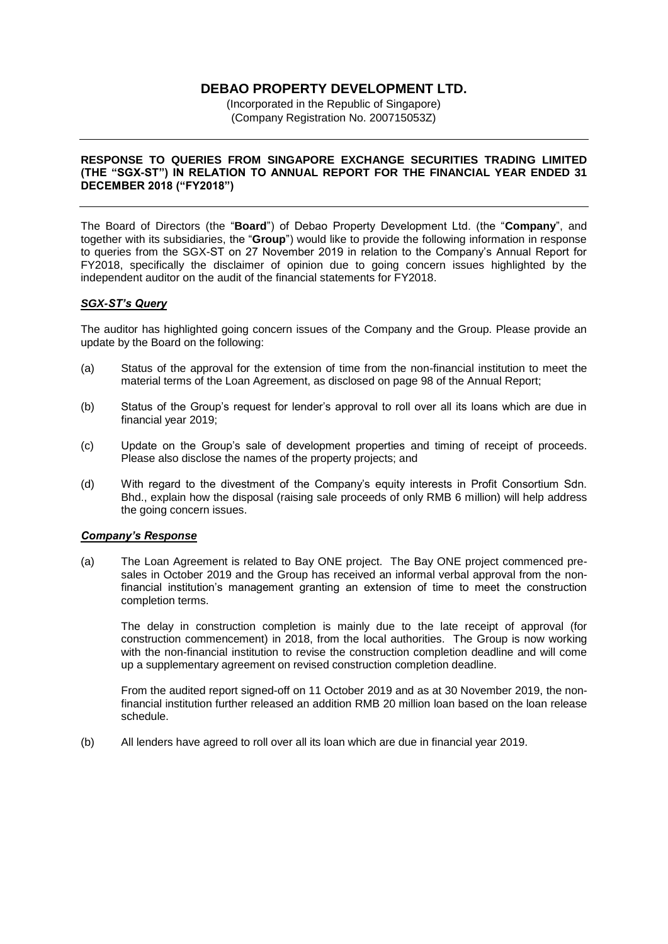# **DEBAO PROPERTY DEVELOPMENT LTD.**

(Incorporated in the Republic of Singapore) (Company Registration No. 200715053Z)

### **RESPONSE TO QUERIES FROM SINGAPORE EXCHANGE SECURITIES TRADING LIMITED (THE "SGX-ST") IN RELATION TO ANNUAL REPORT FOR THE FINANCIAL YEAR ENDED 31 DECEMBER 2018 ("FY2018")**

The Board of Directors (the "**Board**") of Debao Property Development Ltd. (the "**Company**", and together with its subsidiaries, the "**Group**") would like to provide the following information in response to queries from the SGX-ST on 27 November 2019 in relation to the Company's Annual Report for FY2018, specifically the disclaimer of opinion due to going concern issues highlighted by the independent auditor on the audit of the financial statements for FY2018.

## *SGX-ST's Query*

The auditor has highlighted going concern issues of the Company and the Group. Please provide an update by the Board on the following:

- (a) Status of the approval for the extension of time from the non-financial institution to meet the material terms of the Loan Agreement, as disclosed on page 98 of the Annual Report;
- (b) Status of the Group's request for lender's approval to roll over all its loans which are due in financial year 2019;
- (c) Update on the Group's sale of development properties and timing of receipt of proceeds. Please also disclose the names of the property projects; and
- (d) With regard to the divestment of the Company's equity interests in Profit Consortium Sdn. Bhd., explain how the disposal (raising sale proceeds of only RMB 6 million) will help address the going concern issues.

#### *Company's Response*

(a) The Loan Agreement is related to Bay ONE project. The Bay ONE project commenced presales in October 2019 and the Group has received an informal verbal approval from the nonfinancial institution's management granting an extension of time to meet the construction completion terms.

The delay in construction completion is mainly due to the late receipt of approval (for construction commencement) in 2018, from the local authorities. The Group is now working with the non-financial institution to revise the construction completion deadline and will come up a supplementary agreement on revised construction completion deadline.

From the audited report signed-off on 11 October 2019 and as at 30 November 2019, the nonfinancial institution further released an addition RMB 20 million loan based on the loan release schedule.

(b) All lenders have agreed to roll over all its loan which are due in financial year 2019.